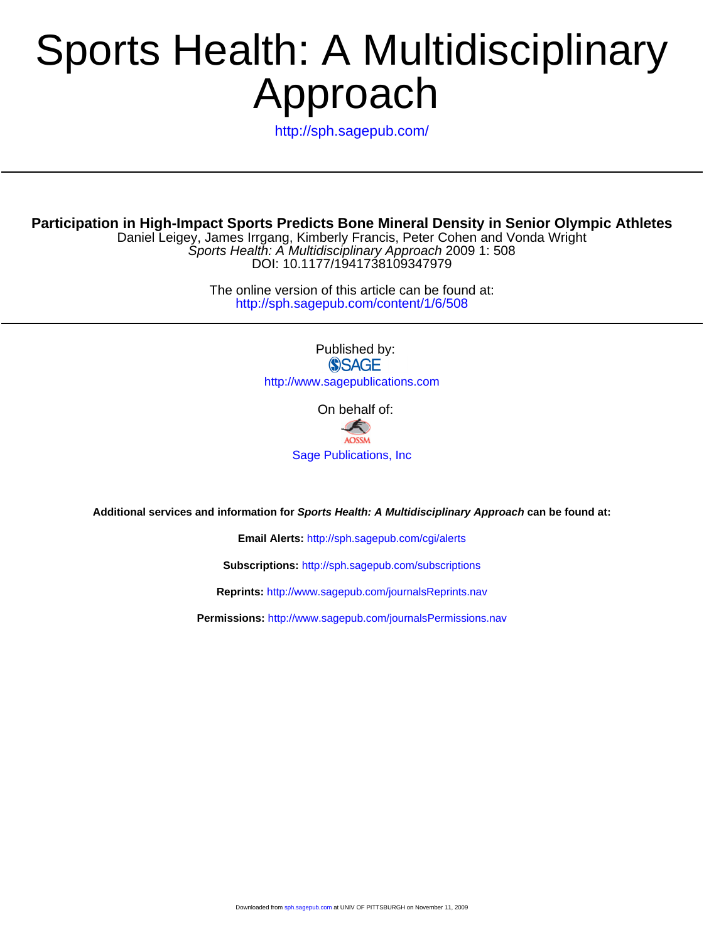# Approach Sports Health: A Multidisciplinary

<http://sph.sagepub.com/>

Sports Health: A Multidisciplinary Approach 2009 1: 508 Daniel Leigey, James Irrgang, Kimberly Francis, Peter Cohen and Vonda Wright **Participation in High-Impact Sports Predicts Bone Mineral Density in Senior Olympic Athletes**

DOI: 10.1177/1941738109347979

http://sph.sagepub.com/content/1/6/508 The online version of this article can be found at:

> Published by: **SSAGE** http://www.sagepublications.com

> > On behalf of:

G **AOSSM** [Sage Publications, Inc](http://www.aossm.org).

**Additional services and information for Sports Health: A Multidisciplinary Approach can be found at:**

**Email Alerts:** <http://sph.sagepub.com/cgi/alerts>

**Subscriptions:** <http://sph.sagepub.com/subscriptions>

**Reprints:** <http://www.sagepub.com/journalsReprints.nav>

**Permissions:** <http://www.sagepub.com/journalsPermissions.nav>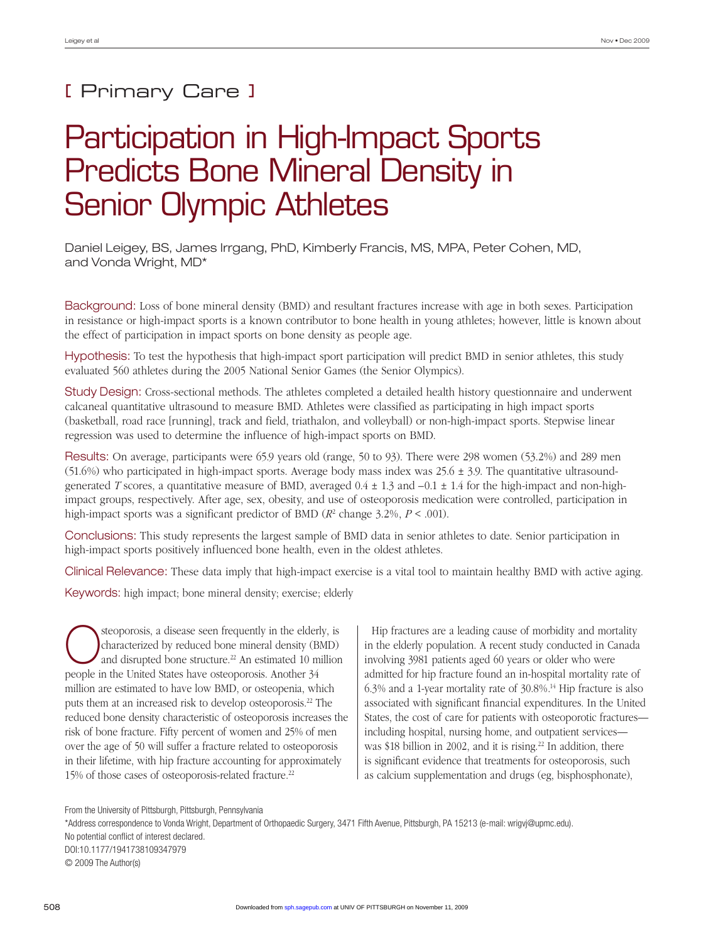### [ Primary Care ]

## Participation in High-Impact Sports Predicts Bone Mineral Density in Senior Olympic Athletes

Daniel Leigey, BS, James Irrgang, PhD, Kimberly Francis, MS, MPA, Peter Cohen, MD, and Vonda Wright, MD\*

Background: Loss of bone mineral density (BMD) and resultant fractures increase with age in both sexes. Participation in resistance or high-impact sports is a known contributor to bone health in young athletes; however, little is known about the effect of participation in impact sports on bone density as people age.

Hypothesis: To test the hypothesis that high-impact sport participation will predict BMD in senior athletes, this study evaluated 560 athletes during the 2005 National Senior Games (the Senior Olympics).

Study Design: Cross-sectional methods. The athletes completed a detailed health history questionnaire and underwent calcaneal quantitative ultrasound to measure BMD. Athletes were classified as participating in high impact sports (basketball, road race [running], track and field, triathalon, and volleyball) or non-high-impact sports. Stepwise linear regression was used to determine the influence of high-impact sports on BMD.

Results: On average, participants were 65.9 years old (range, 50 to 93). There were 298 women (53.2%) and 289 men (51.6%) who participated in high-impact sports. Average body mass index was  $25.6 \pm 3.9$ . The quantitative ultrasoundgenerated *T* scores, a quantitative measure of BMD, averaged 0.4 ± 1.3 and –0.1 ± 1.4 for the high-impact and non-highimpact groups, respectively. After age, sex, obesity, and use of osteoporosis medication were controlled, participation in high-impact sports was a significant predictor of BMD (*R*<sup>2</sup> change 3.2%, *P* < .001).

Conclusions: This study represents the largest sample of BMD data in senior athletes to date. Senior participation in high-impact sports positively influenced bone health, even in the oldest athletes.

Clinical Relevance: These data imply that high-impact exercise is a vital tool to maintain healthy BMD with active aging.

Keywords: high impact; bone mineral density; exercise; elderly

Steoporosis, a disease seen frequently in the elderly, is<br>characterized by reduced bone mineral density (BMD)<br>and disrupted bone structure.<sup>22</sup> An estimated 10 million characterized by reduced bone mineral density (BMD) and disrupted bone structure.<sup>22</sup> An estimated 10 million people in the United States have osteoporosis. Another 34 million are estimated to have low BMD, or osteopenia, which puts them at an increased risk to develop osteoporosis.22 The reduced bone density characteristic of osteoporosis increases the risk of bone fracture. Fifty percent of women and 25% of men over the age of 50 will suffer a fracture related to osteoporosis in their lifetime, with hip fracture accounting for approximately 15% of those cases of osteoporosis-related fracture.22

Hip fractures are a leading cause of morbidity and mortality in the elderly population. A recent study conducted in Canada involving 3981 patients aged 60 years or older who were admitted for hip fracture found an in-hospital mortality rate of 6.3% and a 1-year mortality rate of 30.8%.14 Hip fracture is also associated with significant financial expenditures. In the United States, the cost of care for patients with osteoporotic fractures including hospital, nursing home, and outpatient services was \$18 billion in 2002, and it is rising.<sup>22</sup> In addition, there is significant evidence that treatments for osteoporosis, such as calcium supplementation and drugs (eg, bisphosphonate),

From the University of Pittsburgh, Pittsburgh, Pennsylvania \*Address correspondence to Vonda Wright, Department of Orthopaedic Surgery, 3471 Fifth Avenue, Pittsburgh, PA 15213 (e-mail: wrigvj@upmc.edu). No potential conflict of interest declared. DOI:10.1177/1941738109347979 © 2009 The Author(s)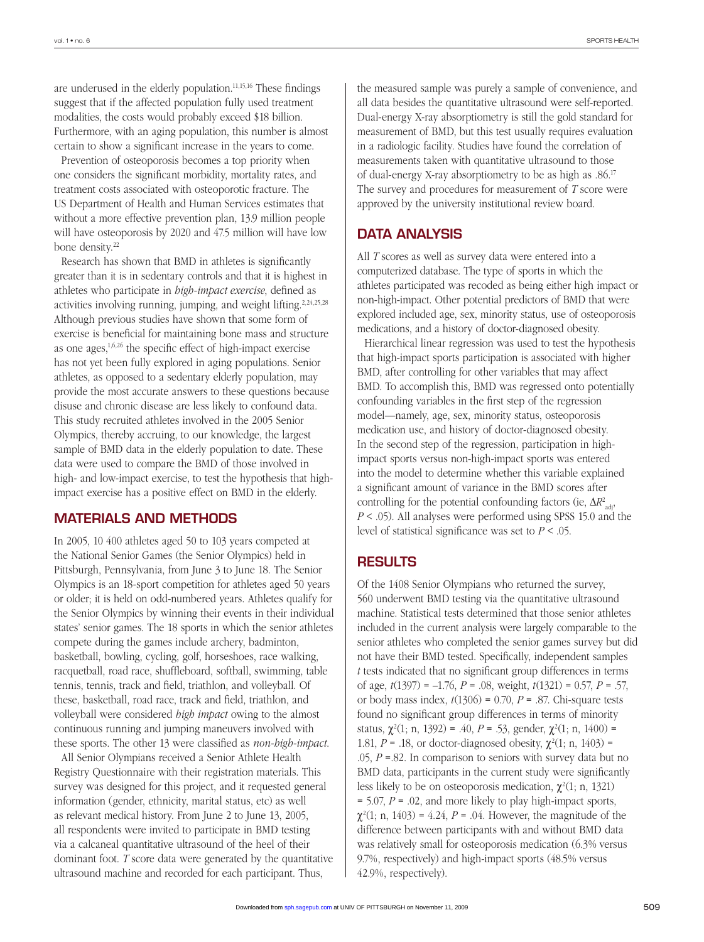are underused in the elderly population. $11,15,16$  These findings suggest that if the affected population fully used treatment modalities, the costs would probably exceed \$18 billion. Furthermore, with an aging population, this number is almost certain to show a significant increase in the years to come.

Prevention of osteoporosis becomes a top priority when one considers the significant morbidity, mortality rates, and treatment costs associated with osteoporotic fracture. The US Department of Health and Human Services estimates that without a more effective prevention plan, 13.9 million people will have osteoporosis by 2020 and 47.5 million will have low bone density.<sup>22</sup>

Research has shown that BMD in athletes is significantly greater than it is in sedentary controls and that it is highest in athletes who participate in *high-impact exercise*, defined as activities involving running, jumping, and weight lifting.<sup>2,24,25,28</sup> Although previous studies have shown that some form of exercise is beneficial for maintaining bone mass and structure as one ages,  $1,6,26$  the specific effect of high-impact exercise has not yet been fully explored in aging populations. Senior athletes, as opposed to a sedentary elderly population, may provide the most accurate answers to these questions because disuse and chronic disease are less likely to confound data. This study recruited athletes involved in the 2005 Senior Olympics, thereby accruing, to our knowledge, the largest sample of BMD data in the elderly population to date. These data were used to compare the BMD of those involved in high- and low-impact exercise, to test the hypothesis that highimpact exercise has a positive effect on BMD in the elderly.

#### MATERIALS AND METHODS

In 2005, 10 400 athletes aged 50 to 103 years competed at the National Senior Games (the Senior Olympics) held in Pittsburgh, Pennsylvania, from June 3 to June 18. The Senior Olympics is an 18-sport competition for athletes aged 50 years or older; it is held on odd-numbered years. Athletes qualify for the Senior Olympics by winning their events in their individual states' senior games. The 18 sports in which the senior athletes compete during the games include archery, badminton, basketball, bowling, cycling, golf, horseshoes, race walking, racquetball, road race, shuffleboard, softball, swimming, table tennis, tennis, track and field, triathlon, and volleyball. Of these, basketball, road race, track and field, triathlon, and volleyball were considered *high impact* owing to the almost continuous running and jumping maneuvers involved with these sports. The other 13 were classified as *non-high-impact*.

All Senior Olympians received a Senior Athlete Health Registry Questionnaire with their registration materials. This survey was designed for this project, and it requested general information (gender, ethnicity, marital status, etc) as well as relevant medical history. From June 2 to June 13, 2005, all respondents were invited to participate in BMD testing via a calcaneal quantitative ultrasound of the heel of their dominant foot. *T* score data were generated by the quantitative ultrasound machine and recorded for each participant. Thus,

the measured sample was purely a sample of convenience, and all data besides the quantitative ultrasound were self-reported. Dual-energy X-ray absorptiometry is still the gold standard for measurement of BMD, but this test usually requires evaluation in a radiologic facility. Studies have found the correlation of measurements taken with quantitative ultrasound to those of dual-energy X-ray absorptiometry to be as high as .86.17 The survey and procedures for measurement of *T* score were approved by the university institutional review board.

#### DATA ANALYSIS

All *T* scores as well as survey data were entered into a computerized database. The type of sports in which the athletes participated was recoded as being either high impact or non-high-impact. Other potential predictors of BMD that were explored included age, sex, minority status, use of osteoporosis medications, and a history of doctor-diagnosed obesity.

Hierarchical linear regression was used to test the hypothesis that high-impact sports participation is associated with higher BMD, after controlling for other variables that may affect BMD. To accomplish this, BMD was regressed onto potentially confounding variables in the first step of the regression model—namely, age, sex, minority status, osteoporosis medication use, and history of doctor-diagnosed obesity. In the second step of the regression, participation in highimpact sports versus non-high-impact sports was entered into the model to determine whether this variable explained a significant amount of variance in the BMD scores after controlling for the potential confounding factors (ie, Δ*R*<sup>2</sup> adj, *P* < .05). All analyses were performed using SPSS 15.0 and the level of statistical significance was set to *P* < .05.

#### RESULTS

Of the 1408 Senior Olympians who returned the survey, 560 underwent BMD testing via the quantitative ultrasound machine. Statistical tests determined that those senior athletes included in the current analysis were largely comparable to the senior athletes who completed the senior games survey but did not have their BMD tested. Specifically, independent samples *t* tests indicated that no significant group differences in terms of age, *t*(1397) = –1.76, *P* = .08, weight, *t*(1321) = 0.57, *P* = .57, or body mass index, *t*(1306) = 0.70, *P* = .87. Chi-square tests found no significant group differences in terms of minority status,  $\chi^2(1; n, 1392) = .40$ ,  $P = .53$ , gender,  $\chi^2(1; n, 1400) =$ 1.81, *P* = .18, or doctor-diagnosed obesity,  $\chi^2(1; n, 1403)$  = .05,  $P = 0.82$ . In comparison to seniors with survey data but no BMD data, participants in the current study were significantly less likely to be on osteoporosis medication,  $\chi^2(1; n, 1321)$ = 5.07, *P* = .02, and more likely to play high-impact sports,  $\chi^2(1; n, 1403) = 4.24$ ,  $P = 0.04$ . However, the magnitude of the difference between participants with and without BMD data was relatively small for osteoporosis medication (6.3% versus 9.7%, respectively) and high-impact sports (48.5% versus 42.9%, respectively).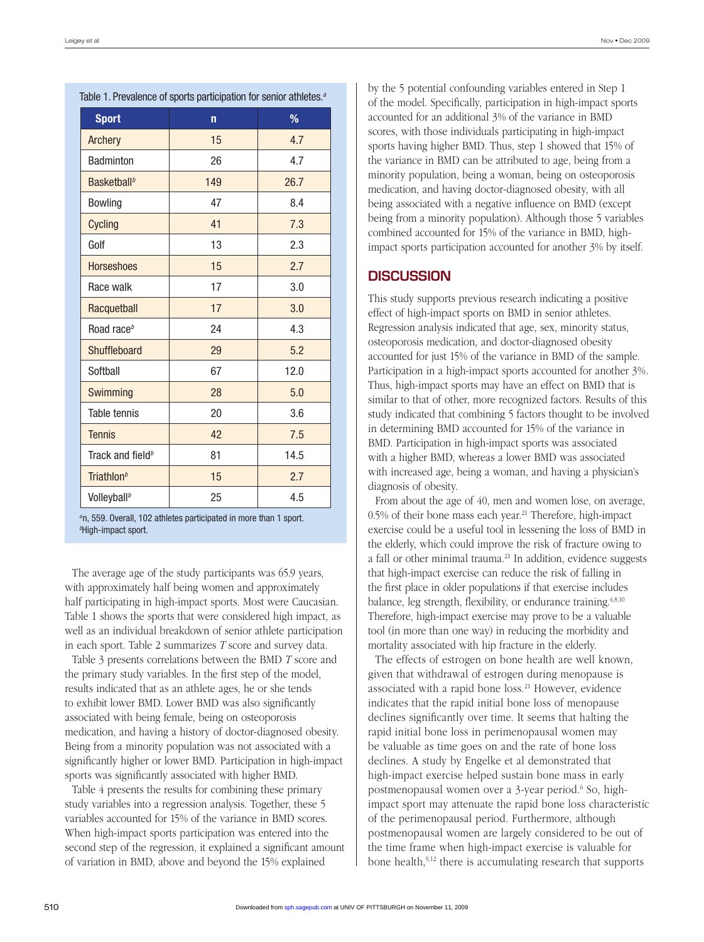| rable 1. Prevalence of sports participation for senior atmetes." |              |      |  |  |  |
|------------------------------------------------------------------|--------------|------|--|--|--|
| <b>Sport</b>                                                     | $\mathsf{n}$ | %    |  |  |  |
| Archery                                                          | 15           | 4.7  |  |  |  |
| Badminton                                                        | 26           | 4.7  |  |  |  |
| Basketball <sup>b</sup>                                          | 149          | 26.7 |  |  |  |
| Bowling                                                          | 47           | 8.4  |  |  |  |
| Cycling                                                          | 41           | 7.3  |  |  |  |
| Golf                                                             | 13           | 2.3  |  |  |  |
| <b>Horseshoes</b>                                                | 15           | 2.7  |  |  |  |
| Race walk                                                        | 17           | 3.0  |  |  |  |
| Racquetball                                                      | 17           | 3.0  |  |  |  |
| Road race <sup>b</sup>                                           | 24           | 4.3  |  |  |  |
| Shuffleboard                                                     | 29           | 5.2  |  |  |  |
| Softball                                                         | 67           | 12.0 |  |  |  |
| Swimming                                                         | 28           | 5.0  |  |  |  |
| Table tennis                                                     | 20           | 3.6  |  |  |  |
| <b>Tennis</b>                                                    | 42           | 7.5  |  |  |  |
| Track and field <sup>b</sup>                                     | 81           | 14.5 |  |  |  |
| Triathlon <sup>b</sup>                                           | 15           | 2.7  |  |  |  |
| Volleyball <sup>b</sup>                                          | 25           | 4.5  |  |  |  |

Table 1. Prevalence of sports participation for senior athletes.*<sup>a</sup>*

*<sup>a</sup>*n, 559. Overall, 102 athletes participated in more than 1 sport. *b* High-impact sport.

The average age of the study participants was 65.9 years, with approximately half being women and approximately half participating in high-impact sports. Most were Caucasian. Table 1 shows the sports that were considered high impact, as well as an individual breakdown of senior athlete participation in each sport. Table 2 summarizes *T* score and survey data.

Table 3 presents correlations between the BMD *T* score and the primary study variables. In the first step of the model, results indicated that as an athlete ages, he or she tends to exhibit lower BMD. Lower BMD was also significantly associated with being female, being on osteoporosis medication, and having a history of doctor-diagnosed obesity. Being from a minority population was not associated with a significantly higher or lower BMD. Participation in high-impact sports was significantly associated with higher BMD.

Table 4 presents the results for combining these primary study variables into a regression analysis. Together, these 5 variables accounted for 15% of the variance in BMD scores. When high-impact sports participation was entered into the second step of the regression, it explained a significant amount of variation in BMD, above and beyond the 15% explained

by the 5 potential confounding variables entered in Step 1 of the model. Specifically, participation in high-impact sports accounted for an additional 3% of the variance in BMD scores, with those individuals participating in high-impact sports having higher BMD. Thus, step 1 showed that 15% of the variance in BMD can be attributed to age, being from a minority population, being a woman, being on osteoporosis medication, and having doctor-diagnosed obesity, with all being associated with a negative influence on BMD (except being from a minority population). Although those 5 variables combined accounted for 15% of the variance in BMD, highimpact sports participation accounted for another 3% by itself.

#### **DISCUSSION**

This study supports previous research indicating a positive effect of high-impact sports on BMD in senior athletes. Regression analysis indicated that age, sex, minority status, osteoporosis medication, and doctor-diagnosed obesity accounted for just 15% of the variance in BMD of the sample. Participation in a high-impact sports accounted for another 3%. Thus, high-impact sports may have an effect on BMD that is similar to that of other, more recognized factors. Results of this study indicated that combining 5 factors thought to be involved in determining BMD accounted for 15% of the variance in BMD. Participation in high-impact sports was associated with a higher BMD, whereas a lower BMD was associated with increased age, being a woman, and having a physician's diagnosis of obesity.

From about the age of 40, men and women lose, on average, 0.5% of their bone mass each year.<sup>21</sup> Therefore, high-impact exercise could be a useful tool in lessening the loss of BMD in the elderly, which could improve the risk of fracture owing to a fall or other minimal trauma.<sup>21</sup> In addition, evidence suggests that high-impact exercise can reduce the risk of falling in the first place in older populations if that exercise includes balance, leg strength, flexibility, or endurance training.<sup>4,8,10</sup> Therefore, high-impact exercise may prove to be a valuable tool (in more than one way) in reducing the morbidity and mortality associated with hip fracture in the elderly.

The effects of estrogen on bone health are well known, given that withdrawal of estrogen during menopause is associated with a rapid bone loss.<sup>21</sup> However, evidence indicates that the rapid initial bone loss of menopause declines significantly over time. It seems that halting the rapid initial bone loss in perimenopausal women may be valuable as time goes on and the rate of bone loss declines. A study by Engelke et al demonstrated that high-impact exercise helped sustain bone mass in early postmenopausal women over a 3-year period.<sup>6</sup> So, highimpact sport may attenuate the rapid bone loss characteristic of the perimenopausal period. Furthermore, although postmenopausal women are largely considered to be out of the time frame when high-impact exercise is valuable for bone health,<sup>9,12</sup> there is accumulating research that supports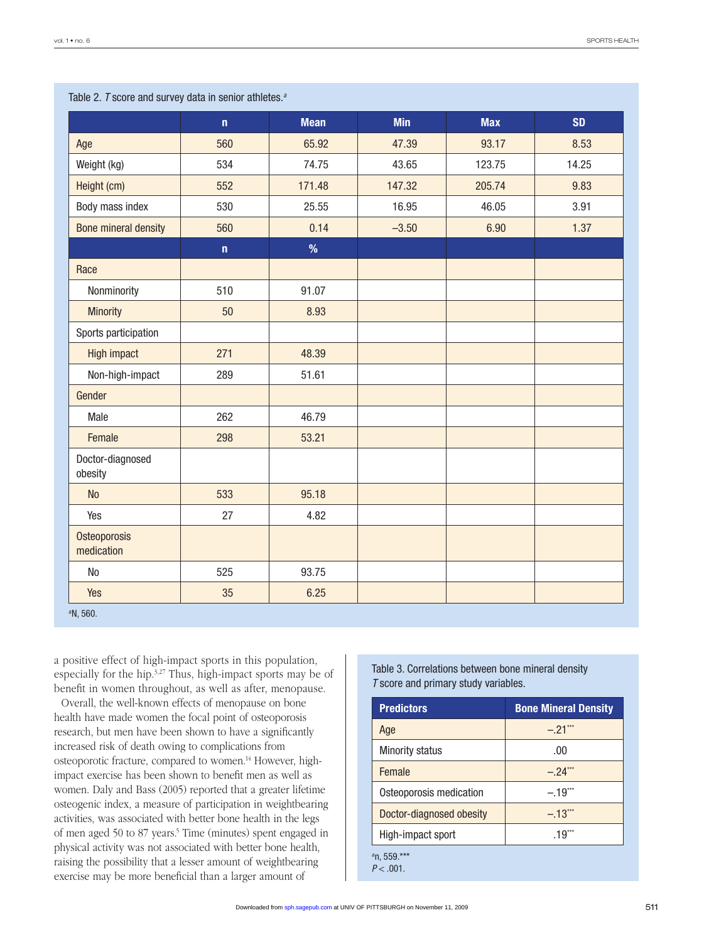|                             | $\mathbf n$ | <b>Mean</b> | <b>Min</b> | <b>Max</b> | <b>SD</b> |
|-----------------------------|-------------|-------------|------------|------------|-----------|
| Age                         | 560         | 65.92       | 47.39      | 93.17      | 8.53      |
| Weight (kg)                 | 534         | 74.75       | 43.65      | 123.75     | 14.25     |
| Height (cm)                 | 552         | 171.48      | 147.32     | 205.74     | 9.83      |
| Body mass index             | 530         | 25.55       | 16.95      | 46.05      | 3.91      |
| <b>Bone mineral density</b> | 560         | 0.14        | $-3.50$    | 6.90       | 1.37      |
|                             | $\mathbf n$ | %           |            |            |           |
| Race                        |             |             |            |            |           |
| Nonminority                 | 510         | 91.07       |            |            |           |
| <b>Minority</b>             | 50          | 8.93        |            |            |           |
| Sports participation        |             |             |            |            |           |
| <b>High impact</b>          | 271         | 48.39       |            |            |           |
| Non-high-impact             | 289         | 51.61       |            |            |           |
| Gender                      |             |             |            |            |           |
| Male                        | 262         | 46.79       |            |            |           |
| Female                      | 298         | 53.21       |            |            |           |
| Doctor-diagnosed<br>obesity |             |             |            |            |           |
| <b>No</b>                   | 533         | 95.18       |            |            |           |
| Yes                         | 27          | 4.82        |            |            |           |
| Osteoporosis<br>medication  |             |             |            |            |           |
| N <sub>o</sub>              | 525         | 93.75       |            |            |           |
| Yes                         | 35          | 6.25        |            |            |           |
| <sup>a</sup> N, 560.        |             |             |            |            |           |

Table 2. *T* score and survey data in senior athletes.*<sup>a</sup>*

a positive effect of high-impact sports in this population, especially for the hip.<sup>3,27</sup> Thus, high-impact sports may be of benefit in women throughout, as well as after, menopause.

Overall, the well-known effects of menopause on bone health have made women the focal point of osteoporosis research, but men have been shown to have a significantly increased risk of death owing to complications from osteoporotic fracture, compared to women.<sup>14</sup> However, highimpact exercise has been shown to benefit men as well as women. Daly and Bass (2005) reported that a greater lifetime osteogenic index, a measure of participation in weightbearing activities, was associated with better bone health in the legs of men aged 50 to 87 years.<sup>5</sup> Time (minutes) spent engaged in physical activity was not associated with better bone health, raising the possibility that a lesser amount of weightbearing exercise may be more beneficial than a larger amount of

#### Table 3. Correlations between bone mineral density *T* score and primary study variables.

| <b>Predictors</b>             | <b>Bone Mineral Density</b> |  |  |
|-------------------------------|-----------------------------|--|--|
| Age                           | $-.21$ <sup>***</sup>       |  |  |
| <b>Minority status</b>        | .00                         |  |  |
| Female                        | $-.24^{n}$                  |  |  |
| Osteoporosis medication       | $-.19$ <sup>***</sup>       |  |  |
| Doctor-diagnosed obesity      | $-13$ <sup>***</sup>        |  |  |
| High-impact sport             | $.19***$                    |  |  |
| $n, 559$ .***<br>$P < .001$ . |                             |  |  |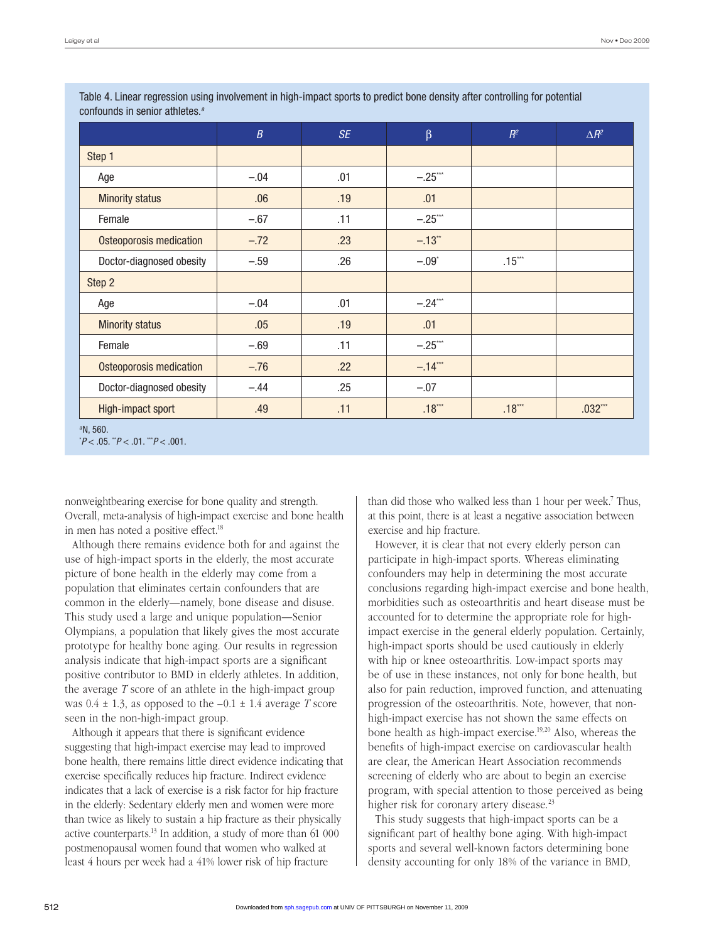|                                | $\boldsymbol{B}$ | <b>SE</b> | $\beta$              | $R^2$    | $\Delta R^2$ |
|--------------------------------|------------------|-----------|----------------------|----------|--------------|
| Step 1                         |                  |           |                      |          |              |
| Age                            | $-.04$           | .01       | $-.25***$            |          |              |
| <b>Minority status</b>         | .06              | .19       | .01                  |          |              |
| Female                         | $-.67$           | .11       | $-.25***$            |          |              |
| Osteoporosis medication        | $-.72$           | .23       | $-.13$ <sup>**</sup> |          |              |
| Doctor-diagnosed obesity       | $-.59$           | .26       | $-.09*$              | $.15***$ |              |
| Step 2                         |                  |           |                      |          |              |
| Age                            | $-.04$           | .01       | $-.24***$            |          |              |
| <b>Minority status</b>         | .05              | .19       | .01                  |          |              |
| Female                         | $-.69$           | .11       | $-.25***$            |          |              |
| <b>Osteoporosis medication</b> | $-.76$           | .22       | $-.14***$            |          |              |
| Doctor-diagnosed obesity       | $-.44$           | .25       | $-.07$               |          |              |
| High-impact sport              | .49              | .11       | $.18***$             | $.18***$ | $.032***$    |

Table 4. Linear regression using involvement in high-impact sports to predict bone density after controlling for potential confounds in senior athletes.*<sup>a</sup>*

nonweightbearing exercise for bone quality and strength. Overall, meta-analysis of high-impact exercise and bone health in men has noted a positive effect.18

Although there remains evidence both for and against the use of high-impact sports in the elderly, the most accurate picture of bone health in the elderly may come from a population that eliminates certain confounders that are common in the elderly—namely, bone disease and disuse. This study used a large and unique population—Senior Olympians, a population that likely gives the most accurate prototype for healthy bone aging. Our results in regression analysis indicate that high-impact sports are a significant positive contributor to BMD in elderly athletes. In addition, the average *T* score of an athlete in the high-impact group was  $0.4 \pm 1.3$ , as opposed to the  $-0.1 \pm 1.4$  average *T* score seen in the non-high-impact group.

Although it appears that there is significant evidence suggesting that high-impact exercise may lead to improved bone health, there remains little direct evidence indicating that exercise specifically reduces hip fracture. Indirect evidence indicates that a lack of exercise is a risk factor for hip fracture in the elderly: Sedentary elderly men and women were more than twice as likely to sustain a hip fracture as their physically active counterparts.13 In addition, a study of more than 61 000 postmenopausal women found that women who walked at least 4 hours per week had a 41% lower risk of hip fracture

than did those who walked less than 1 hour per week.7 Thus, at this point, there is at least a negative association between exercise and hip fracture.

However, it is clear that not every elderly person can participate in high-impact sports. Whereas eliminating confounders may help in determining the most accurate conclusions regarding high-impact exercise and bone health, morbidities such as osteoarthritis and heart disease must be accounted for to determine the appropriate role for highimpact exercise in the general elderly population. Certainly, high-impact sports should be used cautiously in elderly with hip or knee osteoarthritis. Low-impact sports may be of use in these instances, not only for bone health, but also for pain reduction, improved function, and attenuating progression of the osteoarthritis. Note, however, that nonhigh-impact exercise has not shown the same effects on bone health as high-impact exercise.19,20 Also, whereas the benefits of high-impact exercise on cardiovascular health are clear, the American Heart Association recommends screening of elderly who are about to begin an exercise program, with special attention to those perceived as being higher risk for coronary artery disease.<sup>23</sup>

This study suggests that high-impact sports can be a significant part of healthy bone aging. With high-impact sports and several well-known factors determining bone density accounting for only 18% of the variance in BMD,

*<sup>a</sup>*N, 560.

<sup>\*</sup> *P* < .05. \*\**P* < .01. \*\*\**P* < .001.